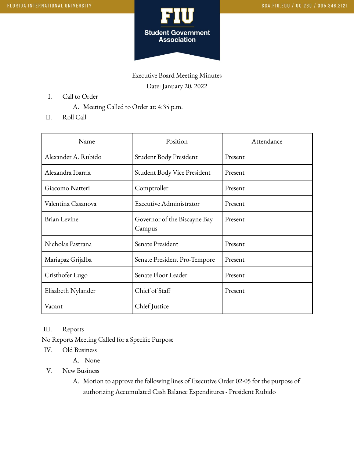

Executive Board Meeting Minutes Date: January 20, 2022

- I. Call to Order
	- A. Meeting Called to Order at: 4:35 p.m.
- II. Roll Call

| Name                | Position                               | Attendance |
|---------------------|----------------------------------------|------------|
| Alexander A. Rubido | Student Body President                 | Present    |
| Alexandra Ibarria   | Student Body Vice President            | Present    |
| Giacomo Natteri     | Comptroller                            | Present    |
| Valentina Casanova  | <b>Executive Administrator</b>         | Present    |
| <b>Brian Levine</b> | Governor of the Biscayne Bay<br>Campus | Present    |
| Nicholas Pastrana   | Senate President                       | Present    |
| Mariapaz Grijalba   | Senate President Pro-Tempore           | Present    |
| Cristhofer Lugo     | Senate Floor Leader                    | Present    |
| Elisabeth Nylander  | Chief of Staff                         | Present    |
| Vacant              | Chief Justice                          |            |

III. Reports

No Reports Meeting Called for a Specific Purpose

- IV. Old Business
	- A. None
- V. New Business
	- A. Motion to approve the following lines of Executive Order 02-05 for the purpose of authorizing Accumulated Cash Balance Expenditures - President Rubido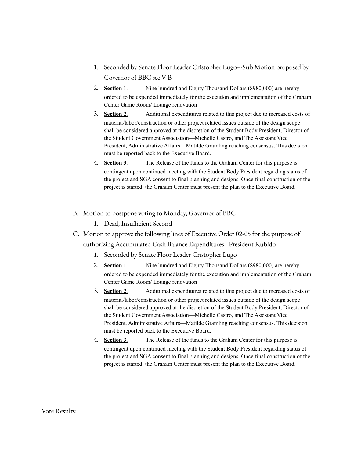- 1. Seconded by Senate Floor Leader Cristopher Lugo---Sub Motion proposed by Governor of BBC see V-B
- 2. **Section 1**. Nine hundred and Eighty Thousand Dollars (\$980,000) are hereby ordered to be expended immediately for the execution and implementation of the Graham Center Game Room/ Lounge renovation
- 3. **Section 2**. Additional expenditures related to this project due to increased costs of material/labor/construction or other project related issues outside of the design scope shall be considered approved at the discretion of the Student Body President, Director of the Student Government Association—Michelle Castro, and The Assistant Vice President, Administrative Affairs—Matilde Gramling reaching consensus. This decision must be reported back to the Executive Board.
- 4. **Section 3**. The Release of the funds to the Graham Center for this purpose is contingent upon continued meeting with the Student Body President regarding status of the project and SGA consent to final planning and designs. Once final construction of the project is started, the Graham Center must present the plan to the Executive Board.
- B. Motion to postpone voting to Monday, Governor of BBC
	- 1. Dead, Insufficient Second
- C. Motion to approve the following lines of Executive Order 02-05 for the purpose of authorizing Accumulated Cash Balance Expenditures - President Rubido
	- 1. Seconded by Senate Floor Leader Cristopher Lugo
	- 2. **Section 1**. Nine hundred and Eighty Thousand Dollars (\$980,000) are hereby ordered to be expended immediately for the execution and implementation of the Graham Center Game Room/ Lounge renovation
	- **3. Section 2.** Additional expenditures related to this project due to increased costs of material/labor/construction or other project related issues outside of the design scope shall be considered approved at the discretion of the Student Body President, Director of the Student Government Association—Michelle Castro, and The Assistant Vice President, Administrative Affairs—Matilde Gramling reaching consensus. This decision must be reported back to the Executive Board.
	- 4. **Section 3**. The Release of the funds to the Graham Center for this purpose is contingent upon continued meeting with the Student Body President regarding status of the project and SGA consent to final planning and designs. Once final construction of the project is started, the Graham Center must present the plan to the Executive Board.